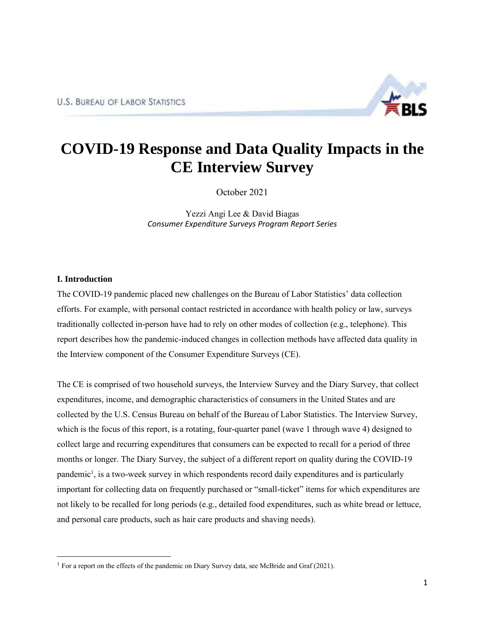

# **COVID-19 Response and Data Quality Impacts in the CE Interview Survey**

October 2021

Yezzi Angi Lee & David Biagas *Consumer Expenditure Surveys Program Report Series*

# **I. Introduction**

The COVID-19 pandemic placed new challenges on the Bureau of Labor Statistics' data collection efforts. For example, with personal contact restricted in accordance with health policy or law, surveys traditionally collected in-person have had to rely on other modes of collection (e.g., telephone). This report describes how the pandemic-induced changes in collection methods have affected data quality in the Interview component of the Consumer Expenditure Surveys (CE).

The CE is comprised of two household surveys, the Interview Survey and the Diary Survey, that collect expenditures, income, and demographic characteristics of consumers in the United States and are collected by the U.S. Census Bureau on behalf of the Bureau of Labor Statistics. The Interview Survey, which is the focus of this report, is a rotating, four-quarter panel (wave 1 through wave 4) designed to collect large and recurring expenditures that consumers can be expected to recall for a period of three months or longer. The Diary Survey, the subject of a different report on quality during the COVID-19 pandemic<sup>1</sup>, is a two-week survey in which respondents record daily expenditures and is particularly important for collecting data on frequently purchased or "small-ticket" items for which expenditures are not likely to be recalled for long periods (e.g., detailed food expenditures, such as white bread or lettuce, and personal care products, such as hair care products and shaving needs).

<sup>&</sup>lt;sup>1</sup> For a report on the effects of the pandemic on Diary Survey data, see McBride and Graf (2021).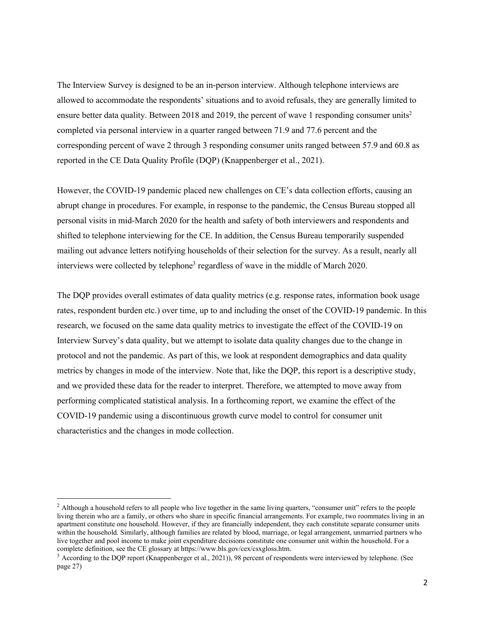The Interview Survey is designed to be an in-person interview. Although telephone interviews are allowed to accommodate the respondents' situations and to avoid refusals, they are generally limited to ensure better data quality. Between 2018 and 2019, the percent of wave 1 responding consumer units<sup>2</sup> completed via personal interview in a quarter ranged between 71.9 and 77.6 percent and the corresponding percent of wave 2 through 3 responding consumer units ranged between 57.9 and 60.8 as reported in the CE Data Quality Profile (DQP) (Knappenberger et al., 2021).

However, the COVID-19 pandemic placed new challenges on CE's data collection efforts, causing an abrupt change in procedures. For example, in response to the pandemic, the Census Bureau stopped all personal visits in mid-March 2020 for the health and safety of both interviewers and respondents and shifted to telephone interviewing for the CE. In addition, the Census Bureau temporarily suspended mailing out advance letters notifying households of their selection for the survey. As a result, nearly all interviews were collected by telephone<sup>3</sup> regardless of wave in the middle of March 2020.

The DQP provides overall estimates of data quality metrics (e.g. response rates, information book usage rates, respondent burden etc.) over time, up to and including the onset of the COVID-19 pandemic. In this research, we focused on the same data quality metrics to investigate the effect of the COVID-19 on Interview Survey's data quality, but we attempt to isolate data quality changes due to the change in protocol and not the pandemic. As part of this, we look at respondent demographics and data quality metrics by changes in mode of the interview. Note that, like the DQP, this report is a descriptive study, and we provided these data for the reader to interpret. Therefore, we attempted to move away from performing complicated statistical analysis. In a forthcoming report, we examine the effect of the COVID-19 pandemic using a discontinuous growth curve model to control for consumer unit characteristics and the changes in mode collection.

<sup>&</sup>lt;sup>2</sup> Although a household refers to all people who live together in the same living quarters, "consumer unit" refers to the people living therein who are a family, or others who share in specific financial arrangements. For example, two roommates living in an apartment constitute one household. However, if they are financially independent, they each constitute separate consumer units within the household. Similarly, although families are related by blood, marriage, or legal arrangement, unmarried partners who live together and pool income to make joint expenditure decisions constitute one consumer unit within the household. For a complete definition, see the CE glossary at https://www.bls.gov/cex/csxgloss.htm.

<sup>3</sup> According to the DQP report (Knappenberger et al., 2021)), 98 percent of respondents were interviewed by telephone. (See page 27)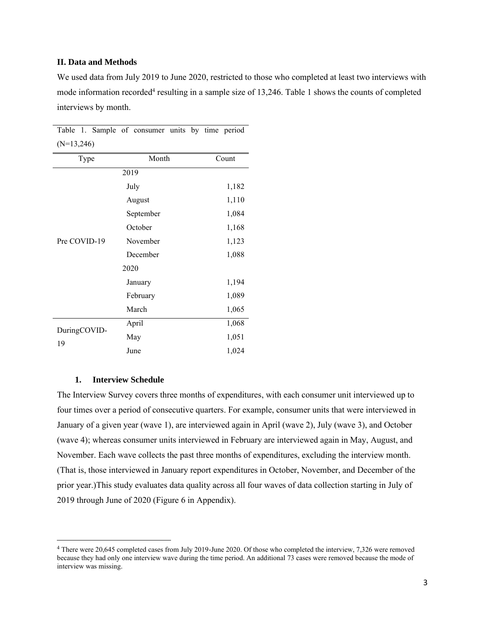## **II. Data and Methods**

We used data from July 2019 to June 2020, restricted to those who completed at least two interviews with mode information recorded<sup>4</sup> resulting in a sample size of 13,246. Table 1 shows the counts of completed interviews by month.

| $(N=13,246)$       |           |       |  |
|--------------------|-----------|-------|--|
| Type               | Month     | Count |  |
|                    | 2019      |       |  |
|                    | July      | 1,182 |  |
|                    | August    | 1,110 |  |
|                    | September | 1,084 |  |
|                    | October   | 1,168 |  |
| Pre COVID-19       | November  | 1,123 |  |
|                    | December  | 1,088 |  |
|                    | 2020      |       |  |
|                    | January   | 1,194 |  |
|                    | February  | 1,089 |  |
|                    | March     | 1,065 |  |
| DuringCOVID-<br>19 | April     | 1,068 |  |
|                    | May       | 1,051 |  |
|                    | June      | 1,024 |  |

Table 1. Sample of consumer units by time period

## **1. Interview Schedule**

The Interview Survey covers three months of expenditures, with each consumer unit interviewed up to four times over a period of consecutive quarters. For example, consumer units that were interviewed in January of a given year (wave 1), are interviewed again in April (wave 2), July (wave 3), and October (wave 4); whereas consumer units interviewed in February are interviewed again in May, August, and November. Each wave collects the past three months of expenditures, excluding the interview month. (That is, those interviewed in January report expenditures in October, November, and December of the prior year.)This study evaluates data quality across all four waves of data collection starting in July of 2019 through June of 2020 (Figure 6 in Appendix).

<sup>4</sup> There were 20,645 completed cases from July 2019-June 2020. Of those who completed the interview, 7,326 were removed because they had only one interview wave during the time period. An additional 73 cases were removed because the mode of interview was missing.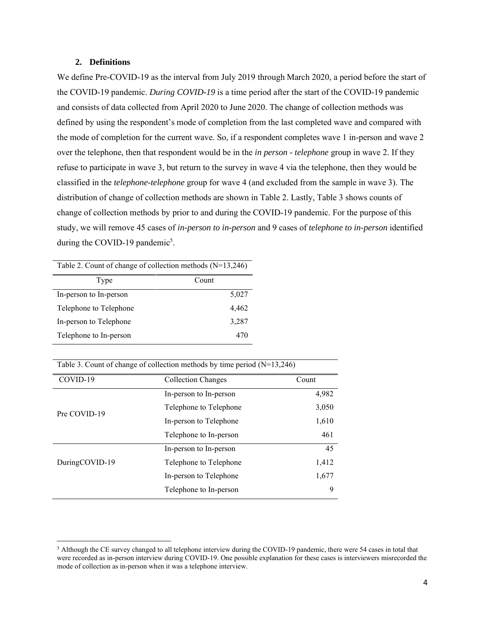#### **2. Definitions**

We define Pre-COVID-19 as the interval from July 2019 through March 2020, a period before the start of the COVID-19 pandemic. *During COVID-19* is a time period after the start of the COVID-19 pandemic and consists of data collected from April 2020 to June 2020. The change of collection methods was defined by using the respondent's mode of completion from the last completed wave and compared with the mode of completion for the current wave. So, if a respondent completes wave 1 in-person and wave 2 over the telephone, then that respondent would be in the *in person - telephone* group in wave 2. If they refuse to participate in wave 3, but return to the survey in wave 4 via the telephone, then they would be classified in the *telephone-telephone* group for wave 4 (and excluded from the sample in wave 3). The distribution of change of collection methods are shown in Table 2. Lastly, Table 3 shows counts of change of collection methods by prior to and during the COVID-19 pandemic. For the purpose of this study, we will remove 45 cases of *in-person to in-person* and 9 cases of *telephone to in-person* identified during the COVID-19 pandemic<sup>5</sup>.

| Table 2. Count of change of collection methods $(N=13,246)$ |       |  |
|-------------------------------------------------------------|-------|--|
| Type                                                        | Count |  |
| In-person to In-person                                      | 5,027 |  |
| Telephone to Telephone                                      | 4,462 |  |
| In-person to Telephone                                      | 3,287 |  |
| Telephone to In-person                                      | 470   |  |

| Table 3. Count of change of collection methods by time period $(N=13.246)$ |  |  |
|----------------------------------------------------------------------------|--|--|
|                                                                            |  |  |

| COVID-19       | <b>Collection Changes</b><br>Count |       |
|----------------|------------------------------------|-------|
|                | In-person to In-person             | 4,982 |
| Pre COVID-19   | Telephone to Telephone             | 3,050 |
|                | In-person to Telephone             | 1,610 |
|                | Telephone to In-person             | 461   |
|                | In-person to In-person             | 45    |
| DuringCOVID-19 | Telephone to Telephone             | 1,412 |
|                | In-person to Telephone             | 1,677 |
|                | Telephone to In-person             | 9     |

<sup>&</sup>lt;sup>5</sup> Although the CE survey changed to all telephone interview during the COVID-19 pandemic, there were 54 cases in total that were recorded as in-person interview during COVID-19. One possible explanation for these cases is interviewers misrecorded the mode of collection as in-person when it was a telephone interview.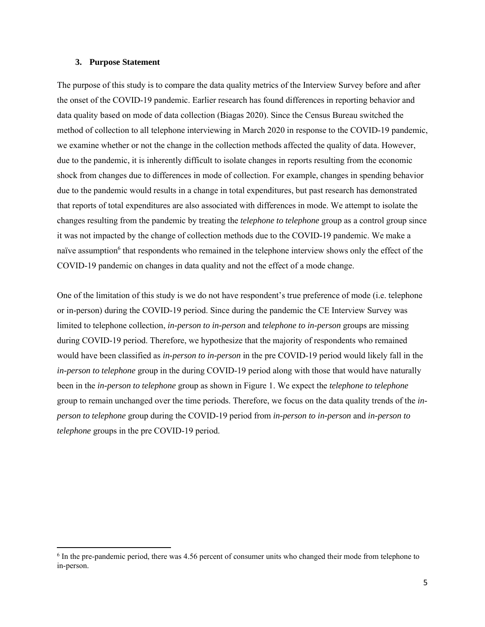#### **3. Purpose Statement**

The purpose of this study is to compare the data quality metrics of the Interview Survey before and after the onset of the COVID-19 pandemic. Earlier research has found differences in reporting behavior and data quality based on mode of data collection (Biagas 2020). Since the Census Bureau switched the method of collection to all telephone interviewing in March 2020 in response to the COVID-19 pandemic, we examine whether or not the change in the collection methods affected the quality of data. However, due to the pandemic, it is inherently difficult to isolate changes in reports resulting from the economic shock from changes due to differences in mode of collection. For example, changes in spending behavior due to the pandemic would results in a change in total expenditures, but past research has demonstrated that reports of total expenditures are also associated with differences in mode. We attempt to isolate the changes resulting from the pandemic by treating the *telephone to telephone* group as a control group since it was not impacted by the change of collection methods due to the COVID-19 pandemic. We make a naïve assumption<sup>6</sup> that respondents who remained in the telephone interview shows only the effect of the COVID-19 pandemic on changes in data quality and not the effect of a mode change.

One of the limitation of this study is we do not have respondent's true preference of mode (i.e. telephone or in-person) during the COVID-19 period. Since during the pandemic the CE Interview Survey was limited to telephone collection, *in-person to in-person* and *telephone to in-person* groups are missing during COVID-19 period. Therefore, we hypothesize that the majority of respondents who remained would have been classified as *in-person to in-person* in the pre COVID-19 period would likely fall in the *in-person to telephone* group in the during COVID-19 period along with those that would have naturally been in the *in-person to telephone* group as shown in Figure 1. We expect the *telephone to telephone* group to remain unchanged over the time periods. Therefore, we focus on the data quality trends of the *inperson to telephone* group during the COVID-19 period from *in-person to in-person* and *in-person to telephone* groups in the pre COVID-19 period.

<sup>&</sup>lt;sup>6</sup> In the pre-pandemic period, there was 4.56 percent of consumer units who changed their mode from telephone to in-person.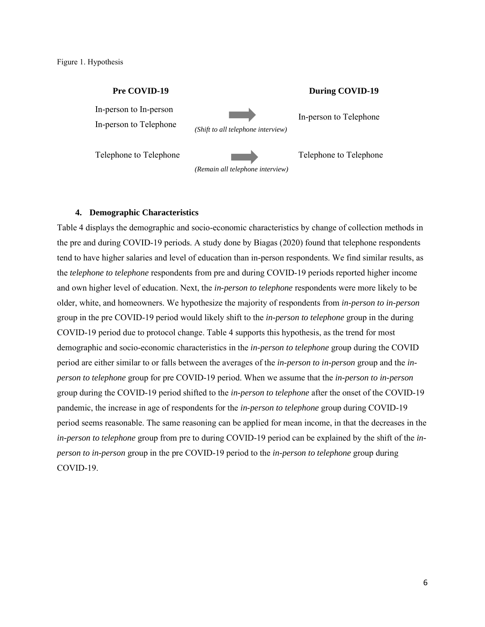Figure 1. Hypothesis

## **Pre COVID-19 During COVID-19**

In-person to In-person

In-person to Telephone *(Shift to all telephone interview)*

In-person to Telephone

Telephone to Telephone Telephone Telephone to Telephone

**4. Demographic Characteristics** 

*(Remain all telephone interview)*

Table 4 displays the demographic and socio-economic characteristics by change of collection methods in the pre and during COVID-19 periods. A study done by Biagas (2020) found that telephone respondents tend to have higher salaries and level of education than in-person respondents. We find similar results, as the *telephone to telephone* respondents from pre and during COVID-19 periods reported higher income and own higher level of education. Next, the *in-person to telephone* respondents were more likely to be older, white, and homeowners. We hypothesize the majority of respondents from *in-person to in-person* group in the pre COVID-19 period would likely shift to the *in-person to telephone* group in the during COVID-19 period due to protocol change. Table 4 supports this hypothesis, as the trend for most demographic and socio-economic characteristics in the *in-person to telephone* group during the COVID period are either similar to or falls between the averages of the *in-person to in-person* group and the *inperson to telephone* group for pre COVID-19 period. When we assume that the *in-person to in-person* group during the COVID-19 period shifted to the *in-person to telephone* after the onset of the COVID-19 pandemic, the increase in age of respondents for the *in-person to telephone* group during COVID-19 period seems reasonable. The same reasoning can be applied for mean income, in that the decreases in the *in-person to telephone* group from pre to during COVID-19 period can be explained by the shift of the *inperson to in-person* group in the pre COVID-19 period to the *in-person to telephone* group during COVID-19.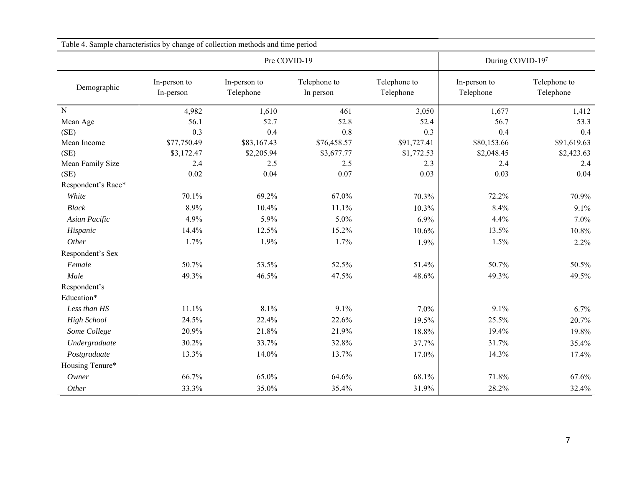| Table 4. Sample characteristics by change of collection methods and time period |                           |                           |                           |                           |                           |                           |
|---------------------------------------------------------------------------------|---------------------------|---------------------------|---------------------------|---------------------------|---------------------------|---------------------------|
|                                                                                 | Pre COVID-19              |                           |                           |                           | During COVID-197          |                           |
| Demographic                                                                     | In-person to<br>In-person | In-person to<br>Telephone | Telephone to<br>In person | Telephone to<br>Telephone | In-person to<br>Telephone | Telephone to<br>Telephone |
| ${\bf N}$                                                                       | 4,982                     | 1,610                     | 461                       | 3,050                     | 1,677                     | 1,412                     |
| Mean Age                                                                        | 56.1                      | 52.7                      | 52.8                      | 52.4                      | 56.7                      | 53.3                      |
| (SE)                                                                            | 0.3                       | 0.4                       | 0.8                       | 0.3                       | 0.4                       | 0.4                       |
| Mean Income                                                                     | \$77,750.49               | \$83,167.43               | \$76,458.57               | \$91,727.41               | \$80,153.66               | \$91,619.63               |
| (SE)                                                                            | \$3,172.47                | \$2,205.94                | \$3,677.77                | \$1,772.53                | \$2,048.45                | \$2,423.63                |
| Mean Family Size                                                                | 2.4                       | 2.5                       | 2.5                       | 2.3                       | 2.4                       | 2.4                       |
| (SE)                                                                            | 0.02                      | 0.04                      | 0.07                      | 0.03                      | 0.03                      | 0.04                      |
| Respondent's Race*                                                              |                           |                           |                           |                           |                           |                           |
| White                                                                           | 70.1%                     | 69.2%                     | 67.0%                     | 70.3%                     | 72.2%                     | 70.9%                     |
| <b>Black</b>                                                                    | 8.9%                      | 10.4%                     | 11.1%                     | 10.3%                     | 8.4%                      | 9.1%                      |
| Asian Pacific                                                                   | 4.9%                      | 5.9%                      | 5.0%                      | 6.9%                      | 4.4%                      | 7.0%                      |
| Hispanic                                                                        | 14.4%                     | 12.5%                     | 15.2%                     | 10.6%                     | 13.5%                     | 10.8%                     |
| Other                                                                           | 1.7%                      | 1.9%                      | 1.7%                      | 1.9%                      | 1.5%                      | 2.2%                      |
| Respondent's Sex                                                                |                           |                           |                           |                           |                           |                           |
| Female                                                                          | 50.7%                     | 53.5%                     | 52.5%                     | 51.4%                     | 50.7%                     | 50.5%                     |
| Male                                                                            | 49.3%                     | 46.5%                     | 47.5%                     | 48.6%                     | 49.3%                     | 49.5%                     |
| Respondent's                                                                    |                           |                           |                           |                           |                           |                           |
| Education*                                                                      |                           |                           |                           |                           |                           |                           |
| Less than HS                                                                    | 11.1%                     | 8.1%                      | 9.1%                      | 7.0%                      | 9.1%                      | 6.7%                      |
| <b>High School</b>                                                              | 24.5%                     | 22.4%                     | 22.6%                     | 19.5%                     | 25.5%                     | 20.7%                     |
| Some College                                                                    | 20.9%                     | 21.8%                     | 21.9%                     | 18.8%                     | 19.4%                     | 19.8%                     |
| Undergraduate                                                                   | 30.2%                     | 33.7%                     | 32.8%                     | 37.7%                     | 31.7%                     | 35.4%                     |
| Postgraduate                                                                    | 13.3%                     | 14.0%                     | 13.7%                     | 17.0%                     | 14.3%                     | 17.4%                     |
| Housing Tenure*                                                                 |                           |                           |                           |                           |                           |                           |
| Owner                                                                           | 66.7%                     | 65.0%                     | 64.6%                     | 68.1%                     | 71.8%                     | 67.6%                     |
| Other                                                                           | 33.3%                     | 35.0%                     | 35.4%                     | 31.9%                     | 28.2%                     | 32.4%                     |

Table 4. Sample characteristics by change of collection methods and time period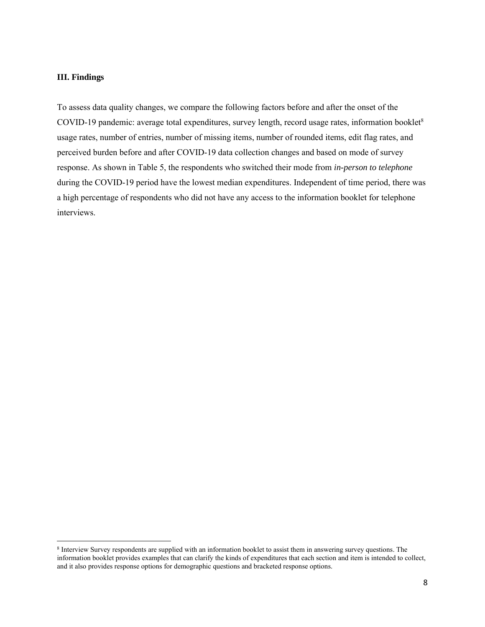#### **III. Findings**

To assess data quality changes, we compare the following factors before and after the onset of the COVID-19 pandemic: average total expenditures, survey length, record usage rates, information booklet<sup>8</sup> usage rates, number of entries, number of missing items, number of rounded items, edit flag rates, and perceived burden before and after COVID-19 data collection changes and based on mode of survey response. As shown in Table 5, the respondents who switched their mode from *in-person to telephone* during the COVID-19 period have the lowest median expenditures. Independent of time period, there was a high percentage of respondents who did not have any access to the information booklet for telephone interviews.

<sup>8</sup> Interview Survey respondents are supplied with an information booklet to assist them in answering survey questions. The information booklet provides examples that can clarify the kinds of expenditures that each section and item is intended to collect, and it also provides response options for demographic questions and bracketed response options.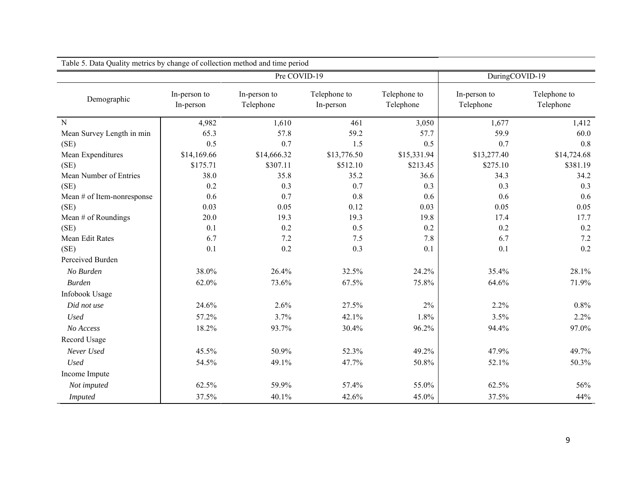| Table 5. Data Quality metrics by change of collection method and time period |                           |                           |                           |                           |                           |                           |
|------------------------------------------------------------------------------|---------------------------|---------------------------|---------------------------|---------------------------|---------------------------|---------------------------|
| Pre COVID-19                                                                 |                           |                           |                           |                           | DuringCOVID-19            |                           |
| Demographic                                                                  | In-person to<br>In-person | In-person to<br>Telephone | Telephone to<br>In-person | Telephone to<br>Telephone | In-person to<br>Telephone | Telephone to<br>Telephone |
| ${\bf N}$                                                                    | 4,982                     | 1,610                     | 461                       | 3,050                     | 1,677                     | 1,412                     |
| Mean Survey Length in min                                                    | 65.3                      | 57.8                      | 59.2                      | 57.7                      | 59.9                      | 60.0                      |
| (SE)                                                                         | 0.5                       | 0.7                       | 1.5                       | 0.5                       | 0.7                       | 0.8                       |
| Mean Expenditures                                                            | \$14,169.66               | \$14,666.32               | \$13,776.50               | \$15,331.94               | \$13,277.40               | \$14,724.68               |
| (SE)                                                                         | \$175.71                  | \$307.11                  | \$512.10                  | \$213.45                  | \$275.10                  | \$381.19                  |
| Mean Number of Entries                                                       | 38.0                      | 35.8                      | 35.2                      | 36.6                      | 34.3                      | 34.2                      |
| (SE)                                                                         | 0.2                       | 0.3                       | 0.7                       | 0.3                       | 0.3                       | 0.3                       |
| Mean $#$ of Item-nonresponse                                                 | 0.6                       | 0.7                       | 0.8                       | 0.6                       | 0.6                       | 0.6                       |
| (SE)                                                                         | 0.03                      | 0.05                      | 0.12                      | 0.03                      | 0.05                      | 0.05                      |
| Mean # of Roundings                                                          | 20.0                      | 19.3                      | 19.3                      | 19.8                      | 17.4                      | 17.7                      |
| (SE)                                                                         | 0.1                       | 0.2                       | 0.5                       | 0.2                       | 0.2                       | 0.2                       |
| Mean Edit Rates                                                              | 6.7                       | 7.2                       | 7.5                       | 7.8                       | 6.7                       | 7.2                       |
| (SE)                                                                         | 0.1                       | 0.2                       | 0.3                       | 0.1                       | 0.1                       | 0.2                       |
| Perceived Burden                                                             |                           |                           |                           |                           |                           |                           |
| No Burden                                                                    | 38.0%                     | 26.4%                     | 32.5%                     | 24.2%                     | 35.4%                     | 28.1%                     |
| <b>Burden</b>                                                                | 62.0%                     | 73.6%                     | 67.5%                     | 75.8%                     | 64.6%                     | 71.9%                     |
| Infobook Usage                                                               |                           |                           |                           |                           |                           |                           |
| Did not use                                                                  | 24.6%                     | 2.6%                      | 27.5%                     | $2\%$                     | 2.2%                      | 0.8%                      |
| <b>Used</b>                                                                  | 57.2%                     | 3.7%                      | 42.1%                     | 1.8%                      | 3.5%                      | 2.2%                      |
| No Access                                                                    | 18.2%                     | 93.7%                     | 30.4%                     | 96.2%                     | 94.4%                     | 97.0%                     |
| Record Usage                                                                 |                           |                           |                           |                           |                           |                           |
| Never Used                                                                   | 45.5%                     | 50.9%                     | 52.3%                     | 49.2%                     | 47.9%                     | 49.7%                     |
| <b>Used</b>                                                                  | 54.5%                     | 49.1%                     | 47.7%                     | 50.8%                     | 52.1%                     | 50.3%                     |
| Income Impute                                                                |                           |                           |                           |                           |                           |                           |
| Not imputed                                                                  | 62.5%                     | 59.9%                     | 57.4%                     | 55.0%                     | 62.5%                     | 56%                       |
| <b>Imputed</b>                                                               | 37.5%                     | 40.1%                     | 42.6%                     | 45.0%                     | 37.5%                     | 44%                       |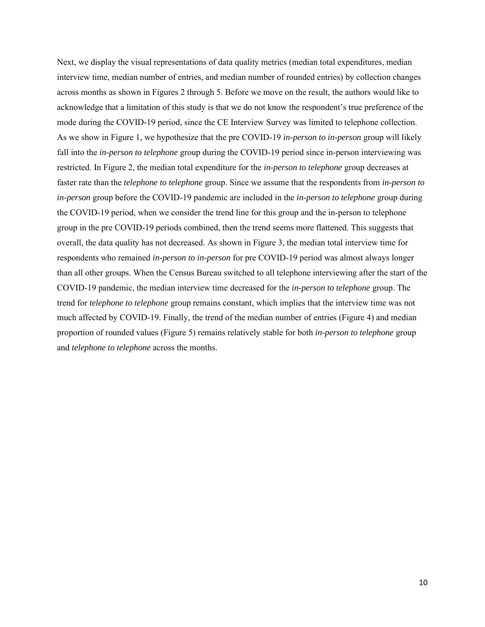Next, we display the visual representations of data quality metrics (median total expenditures, median interview time, median number of entries, and median number of rounded entries) by collection changes across months as shown in Figures 2 through 5. Before we move on the result, the authors would like to acknowledge that a limitation of this study is that we do not know the respondent's true preference of the mode during the COVID-19 period, since the CE Interview Survey was limited to telephone collection. As we show in Figure 1, we hypothesize that the pre COVID-19 *in-person to in-person* group will likely fall into the *in-person to telephone* group during the COVID-19 period since in-person interviewing was restricted. In Figure 2, the median total expenditure for the *in-person to telephone* group decreases at faster rate than the *telephone to telephone* group. Since we assume that the respondents from *in-person to in-person* group before the COVID-19 pandemic are included in the *in-person to telephone* group during the COVID-19 period, when we consider the trend line for this group and the in-person to telephone group in the pre COVID-19 periods combined, then the trend seems more flattened. This suggests that overall, the data quality has not decreased. As shown in Figure 3, the median total interview time for respondents who remained *in-person to in-person* for pre COVID-19 period was almost always longer than all other groups. When the Census Bureau switched to all telephone interviewing after the start of the COVID-19 pandemic, the median interview time decreased for the *in-person to telephone* group. The trend for *telephone to telephone* group remains constant, which implies that the interview time was not much affected by COVID-19. Finally, the trend of the median number of entries (Figure 4) and median proportion of rounded values (Figure 5) remains relatively stable for both *in-person to telephone* group and *telephone to telephone* across the months.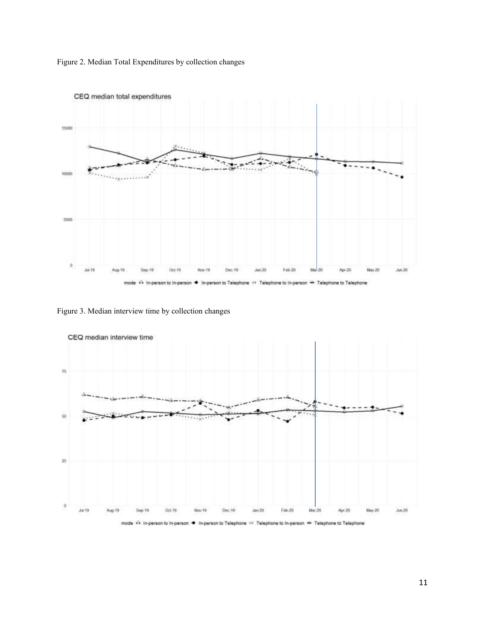



Figure 3. Median interview time by collection changes



mode <A in-person to in-person ● In-person to Telephone << Telephone to in-person → Telephone to Telephone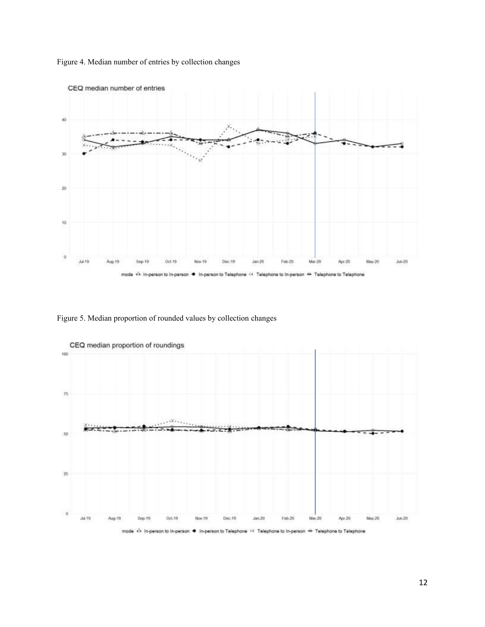



Figure 5. Median proportion of rounded values by collection changes



mode <> In-person to In-person \*\* Telephone to In-person - Telephone to Telephone In-person to Telephone ٠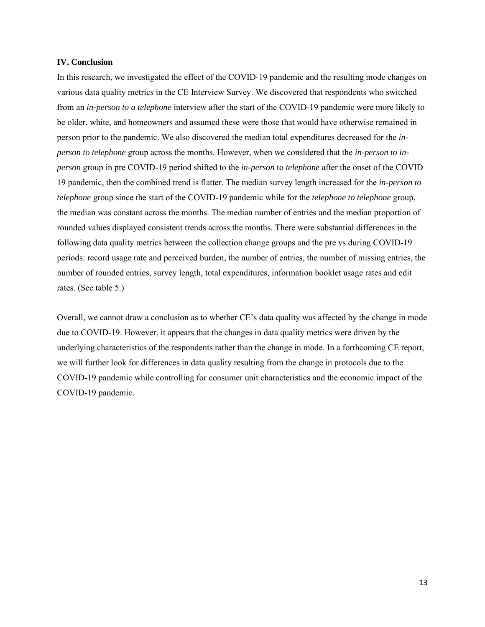#### **IV. Conclusion**

In this research, we investigated the effect of the COVID-19 pandemic and the resulting mode changes on various data quality metrics in the CE Interview Survey. We discovered that respondents who switched from an *in-person to a telephone* interview after the start of the COVID-19 pandemic were more likely to be older, white, and homeowners and assumed these were those that would have otherwise remained in person prior to the pandemic. We also discovered the median total expenditures decreased for the *inperson to telephone* group across the months. However, when we considered that the *in-person to inperson* group in pre COVID-19 period shifted to the *in-person* to *telephone* after the onset of the COVID 19 pandemic, then the combined trend is flatter. The median survey length increased for the *in-person to telephone* group since the start of the COVID-19 pandemic while for the *telephone to telephone* group, the median was constant across the months. The median number of entries and the median proportion of rounded values displayed consistent trends across the months. There were substantial differences in the following data quality metrics between the collection change groups and the pre vs during COVID-19 periods: record usage rate and perceived burden, the number of entries, the number of missing entries, the number of rounded entries, survey length, total expenditures, information booklet usage rates and edit rates. (See table 5.)

Overall, we cannot draw a conclusion as to whether CE's data quality was affected by the change in mode due to COVID-19. However, it appears that the changes in data quality metrics were driven by the underlying characteristics of the respondents rather than the change in mode. In a forthcoming CE report, we will further look for differences in data quality resulting from the change in protocols due to the COVID-19 pandemic while controlling for consumer unit characteristics and the economic impact of the COVID-19 pandemic.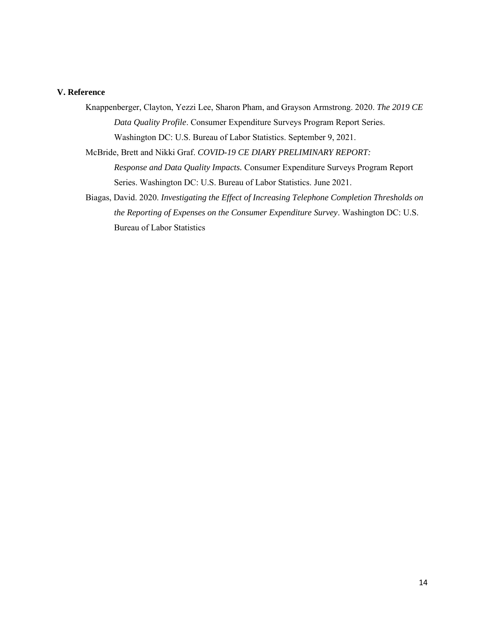# **V. Reference**

Knappenberger, Clayton, Yezzi Lee, Sharon Pham, and Grayson Armstrong. 2020. *The 2019 CE Data Quality Profile*. Consumer Expenditure Surveys Program Report Series. Washington DC: U.S. Bureau of Labor Statistics. September 9, 2021.

McBride, Brett and Nikki Graf. *COVID-19 CE DIARY PRELIMINARY REPORT:*

*Response and Data Quality Impacts.* Consumer Expenditure Surveys Program Report Series. Washington DC: U.S. Bureau of Labor Statistics. June 2021.

Biagas, David. 2020. *Investigating the Effect of Increasing Telephone Completion Thresholds on the Reporting of Expenses on the Consumer Expenditure Survey*. Washington DC: U.S. Bureau of Labor Statistics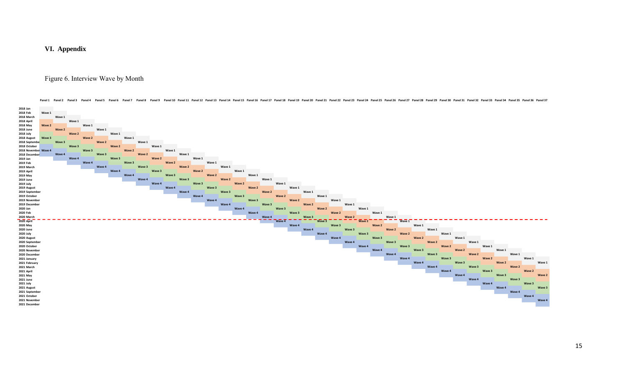**VI. Appendix**

# Figure 6. Interview Wave by Month



Panel1 Panel3 Panel4 Panel5 Panel5 Panel6 Panel7 Panel8 Panel10 Panel11 Panel12 Panel13 Panel14 Panel13 Panel18 Panel18 Panel18 Panel20 Panel20 Panel20 Panel23 Panel25 Panel26 Panel26 Panel26 Panel27 Panel28 Panel29 Panel2